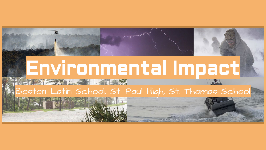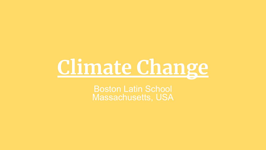## **Climate Change**

Boston Latin School Massachusetts, USA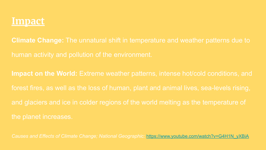

**Climate Change:** The unnatural shift in temperature and weather patterns due to

**Impact on the World:** Extreme weather patterns, intense hot/cold conditions, and

*Causes and Effects of Climate Change; National Geographic:* https://www.youtube.com/watch?v=G4H1N\_yXBiA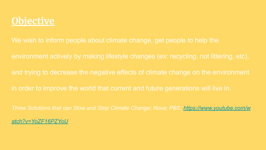#### **Objective**

environment actively by making lifestyle changes (ex: recycling, not littering, etc),

and trying to decrease the negative effects of climate change on the environment

in order to improve the world that current and future generations will live in.

*Three Solutions that can Slow and Stop Climate Change; Nova; PBS: https://www.youtube.com/w*

*atch?v=YoZF16PZYoU*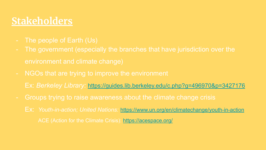#### **Stakeholders**

- The people of Earth (Us)
- environment and climate change)
- NGOs that are trying to improve the environment

Ex: *Berkeley Library:* https://guides.lib.berkeley.edu/c.php?g=496970&p=3427176

- Groups trying to raise awareness about the climate change crisis
	- Ex: *Youth-in-action; United Nations:* https://www.un.org/en/climatechange/youth-in-action ACE (Action for the Climate Crisis): https://acespace.org/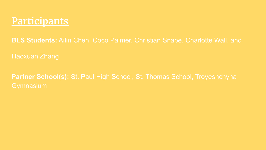

**BLS Students:** Ailin Chen, Coco Palmer, Christian Snape, Charlotte Wall, and

**Partner School(s):** St. Paul High School, St. Thomas School, Troyeshchyna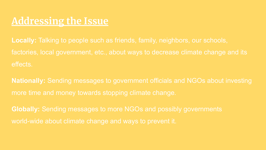#### **Addressing the Issue**

**Locally:** Talking to people such as friends, family, neighbors, our schools, factories, local government, etc., about ways to decrease climate change and its effects.

**Nationally:** Sending messages to government officials and NGOs about investing more time and money towards stopping climate change.

**Globally:** Sending messages to more NGOs and possibly governments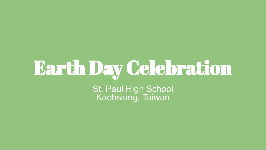# Earth Day Celebration

St. Paul High School Kaohsiung, Taiwan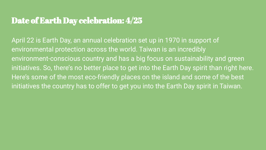#### Date of Earth Day celebration: 4/25

April 22 is Earth Day, an annual celebration set up in 1970 in support of environmental protection across the world. Taiwan is an incredibly environment-conscious country and has a big focus on sustainability and green initiatives. So, there's no better place to get into the Earth Day spirit than right here. Here's some of the most eco-friendly places on the island and some of the best initiatives the country has to offer to get you into the Earth Day spirit in Taiwan.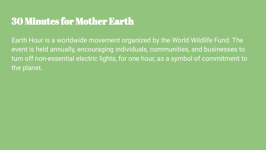#### 30 Minutes for Mother Earth

Earth Hour is a worldwide movement organized by the World Wildlife Fund. The event is held annually, encouraging individuals, communities, and businesses to turn off non-essential electric lights, for one hour, as a symbol of commitment to the planet.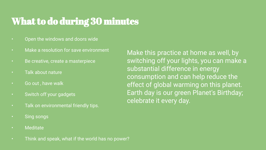#### What to do during 30 minutes

- Open the windows and doors wide
- Make a resolution for save environment
- Be creative, create a masterpiece
- Talk about nature
- Go out , have walk
- Switch off your gadgets
- Talk on environmental friendly tips.
- Sing songs
- Meditate
- Think and speak, what if the world has no power?

Make this practice at home as well, by switching off your lights, you can make a substantial difference in energy consumption and can help reduce the effect of global warming on this planet. Earth day is our green Planet's Birthday; celebrate it every day.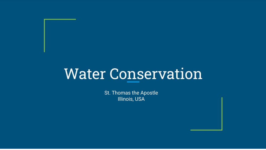### **Water Conservation**

St. Thomas the Apostle Illinois, USA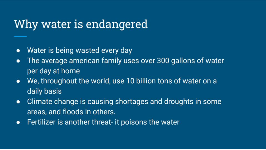#### Why water is endangered

- Water is being wasted every day  $\bullet$
- The average american family uses over 300 gallons of water  $\bullet$ per day at home
- We, throughout the world, use 10 billion tons of water on a  $\bullet$ daily basis
- Climate change is causing shortages and droughts in some  $\bullet$ areas, and floods in others.
- Fertilizer is another threat- it poisons the water  $\bullet$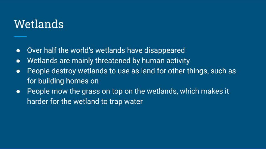#### Wetlands

- Over half the world's wetlands have disappeared  $\bullet$
- Wetlands are mainly threatened by human activity  $\bullet$
- People destroy wetlands to use as land for other things, such as  $\bullet$ for building homes on
- People mow the grass on top on the wetlands, which makes it  $\bullet$ harder for the wetland to trap water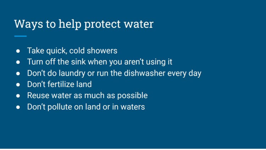#### Ways to help protect water

- Take quick, cold showers  $\bullet$
- Turn off the sink when you aren't using it  $\bullet$
- Don't do laundry or run the dishwasher every day  $\bullet$
- Don't fertilize land  $\bullet$
- Reuse water as much as possible  $\bullet$
- Don't pollute on land or in waters  $\bullet$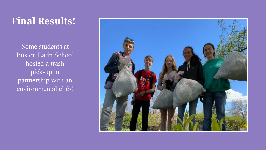#### **Final Results!**

Some students at Boston Latin School hosted a trash pick-up in partnership with an environmental club!